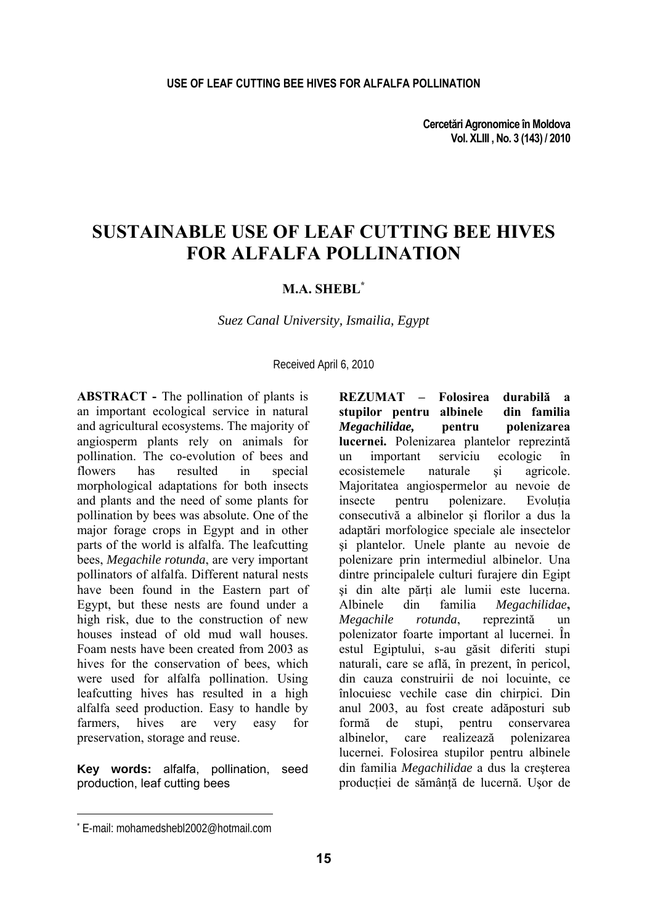**Cercetări Agronomice în Moldova Vol. XLIII , No. 3 (143) / 2010** 

# **SUSTAINABLE USE OF LEAF CUTTING BEE HIVES FOR ALFALFA POLLINATION**

### **M.A. SHEBL\***

*Suez Canal University, Ismailia, Egypt* 

Received April 6, 2010

**ABSTRACT -** The pollination of plants is an important ecological service in natural and agricultural ecosystems. The majority of angiosperm plants rely on animals for pollination. The co-evolution of bees and flowers has resulted in special morphological adaptations for both insects and plants and the need of some plants for pollination by bees was absolute. One of the major forage crops in Egypt and in other parts of the world is alfalfa. The leafcutting bees, *Megachile rotunda*, are very important pollinators of alfalfa. Different natural nests have been found in the Eastern part of Egypt, but these nests are found under a high risk, due to the construction of new houses instead of old mud wall houses. Foam nests have been created from 2003 as hives for the conservation of bees, which were used for alfalfa pollination. Using leafcutting hives has resulted in a high alfalfa seed production. Easy to handle by farmers, hives are very easy for preservation, storage and reuse.

**Key words:** alfalfa, pollination, seed production, leaf cutting bees

**REZUMAT – Folosirea durabilă a stupilor pentru albinele din familia**  *Megachilidae,* **pentru polenizarea lucernei.** Polenizarea plantelor reprezintă un important serviciu ecologic în ecosistemele naturale si agricole ecosistemele naturale si agricole. Majoritatea angiospermelor au nevoie de insecte pentru polenizare. Evolutia consecutivă a albinelor şi florilor a dus la adaptări morfologice speciale ale insectelor şi plantelor. Unele plante au nevoie de polenizare prin intermediul albinelor. Una dintre principalele culturi furajere din Egipt si din alte părți ale lumii este lucerna. Albinele din familia *Megachilidae***,** *Megachile rotunda*, reprezintă un polenizator foarte important al lucernei. În estul Egiptului, s-au găsit diferiti stupi naturali, care se află, în prezent, în pericol, din cauza construirii de noi locuinte, ce înlocuiesc vechile case din chirpici. Din anul 2003, au fost create adăposturi sub formă de stupi, pentru conservarea albinelor, care realizează polenizarea lucernei. Folosirea stupilor pentru albinele din familia *Megachilidae* a dus la creşterea productiei de sământă de lucernă. Usor de

l

<sup>\*</sup> E-mail: mohamedshebl2002@hotmail.com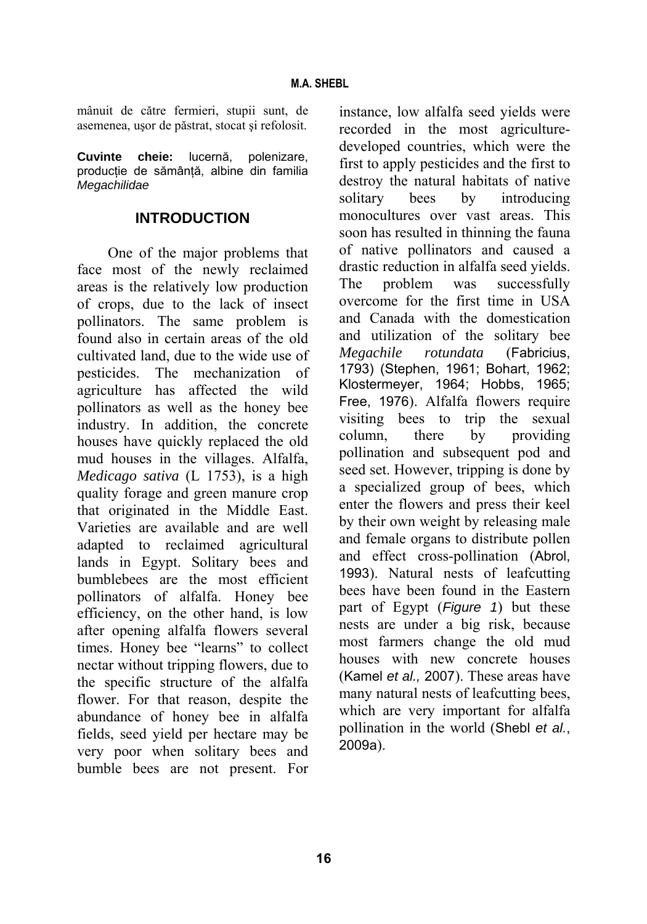mânuit de către fermieri, stupii sunt, de asemenea, uşor de păstrat, stocat şi refolosit.

**Cuvinte cheie:** lucernă, polenizare, productie de sământă, albine din familia *Megachilidae*

### **INTRODUCTION**

One of the major problems that face most of the newly reclaimed areas is the relatively low production of crops, due to the lack of insect pollinators. The same problem is found also in certain areas of the old cultivated land, due to the wide use of pesticides. The mechanization of agriculture has affected the wild pollinators as well as the honey bee industry. In addition, the concrete houses have quickly replaced the old mud houses in the villages. Alfalfa, *Medicago sativa* (L 1753), is a high quality forage and green manure crop that originated in the Middle East. Varieties are available and are well adapted to reclaimed agricultural lands in Egypt. Solitary bees and bumblebees are the most efficient pollinators of alfalfa. Honey bee efficiency, on the other hand, is low after opening alfalfa flowers several times. Honey bee "learns" to collect nectar without tripping flowers, due to the specific structure of the alfalfa flower. For that reason, despite the abundance of honey bee in alfalfa fields, seed yield per hectare may be very poor when solitary bees and bumble bees are not present. For

instance, low alfalfa seed yields were recorded in the most agriculturedeveloped countries, which were the first to apply pesticides and the first to destroy the natural habitats of native solitary bees by introducing monocultures over vast areas. This soon has resulted in thinning the fauna of native pollinators and caused a drastic reduction in alfalfa seed yields. The problem was successfully overcome for the first time in USA and Canada with the domestication and utilization of the solitary bee *Megachile rotundata* (Fabricius, 1793) (Stephen, 1961; Bohart, 1962; Klostermeyer, 1964; Hobbs, 1965; Free, 1976). Alfalfa flowers require visiting bees to trip the sexual column, there by providing pollination and subsequent pod and seed set. However, tripping is done by a specialized group of bees, which enter the flowers and press their keel by their own weight by releasing male and female organs to distribute pollen and effect cross-pollination (Abrol, 1993). Natural nests of leafcutting bees have been found in the Eastern part of Egypt (*Figure 1*) but these nests are under a big risk, because most farmers change the old mud houses with new concrete houses (Kamel *et al.,* 2007). These areas have many natural nests of leafcutting bees, which are very important for alfalfa pollination in the world (Shebl *et al.*, 2009a).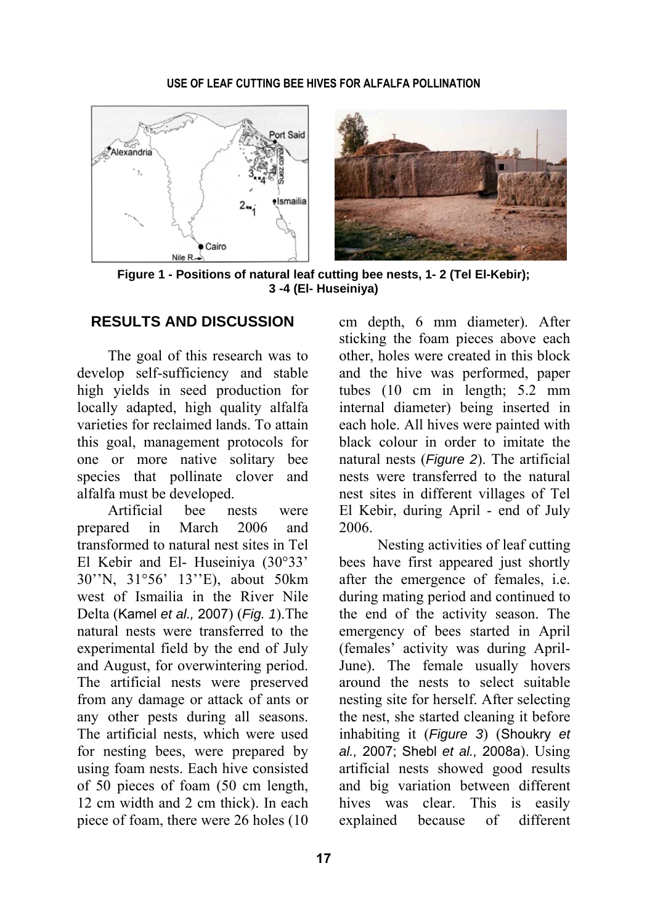

**Figure 1 - Positions of natural leaf cutting bee nests, 1- 2 (Tel El-Kebir); 3 -4 (El- Huseiniya)** 

## **RESULTS AND DISCUSSION**

The goal of this research was to develop self-sufficiency and stable high yields in seed production for locally adapted, high quality alfalfa varieties for reclaimed lands. To attain this goal, management protocols for one or more native solitary bee species that pollinate clover and alfalfa must be developed.

Artificial bee nests were prepared in March 2006 and transformed to natural nest sites in Tel El Kebir and El- Huseiniya (30°33' 30''N, 31°56' 13''E), about 50km west of Ismailia in the River Nile Delta (Kamel *et al.,* 2007) (*Fig. 1*).The natural nests were transferred to the experimental field by the end of July and August, for overwintering period. The artificial nests were preserved from any damage or attack of ants or any other pests during all seasons. The artificial nests, which were used for nesting bees, were prepared by using foam nests. Each hive consisted of 50 pieces of foam (50 cm length, 12 cm width and 2 cm thick). In each piece of foam, there were 26 holes (10

cm depth, 6 mm diameter). After sticking the foam pieces above each other, holes were created in this block and the hive was performed, paper tubes (10 cm in length; 5.2 mm internal diameter) being inserted in each hole. All hives were painted with black colour in order to imitate the natural nests (*Figure 2*). The artificial nests were transferred to the natural nest sites in different villages of Tel El Kebir, during April - end of July 2006.

Nesting activities of leaf cutting bees have first appeared just shortly after the emergence of females, i.e. during mating period and continued to the end of the activity season. The emergency of bees started in April (females' activity was during April-June). The female usually hovers around the nests to select suitable nesting site for herself. After selecting the nest, she started cleaning it before inhabiting it (*Figure 3*) (Shoukry *et al.,* 2007; Shebl *et al.,* 2008a). Using artificial nests showed good results and big variation between different hives was clear. This is easily explained because of different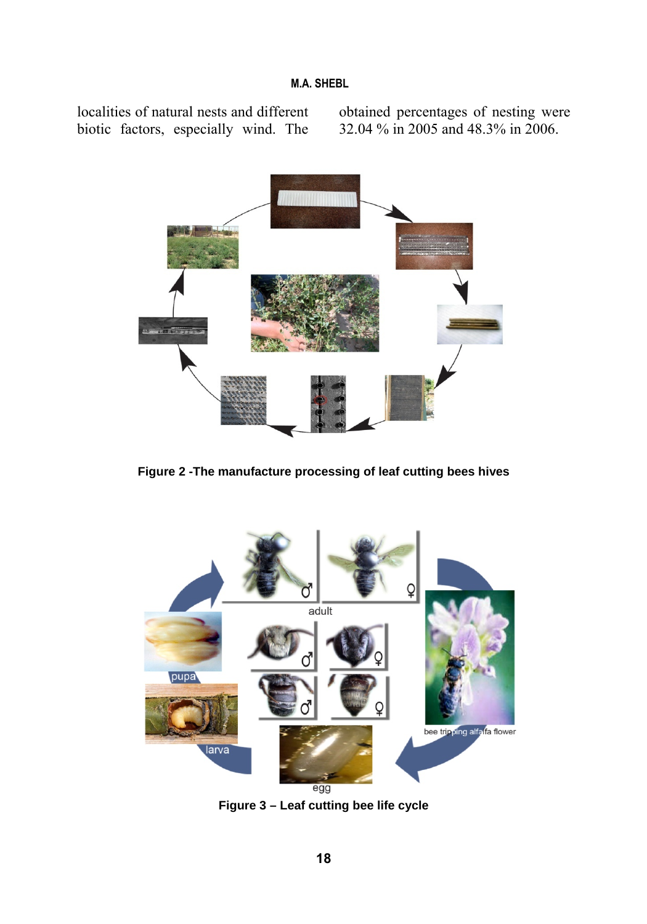localities of natural nests and different biotic factors, especially wind. The obtained percentages of nesting were 32.04 % in 2005 and 48.3% in 2006.



**Figure 2 -The manufacture processing of leaf cutting bees hives** 



**Figure 3 – Leaf cutting bee life cycle**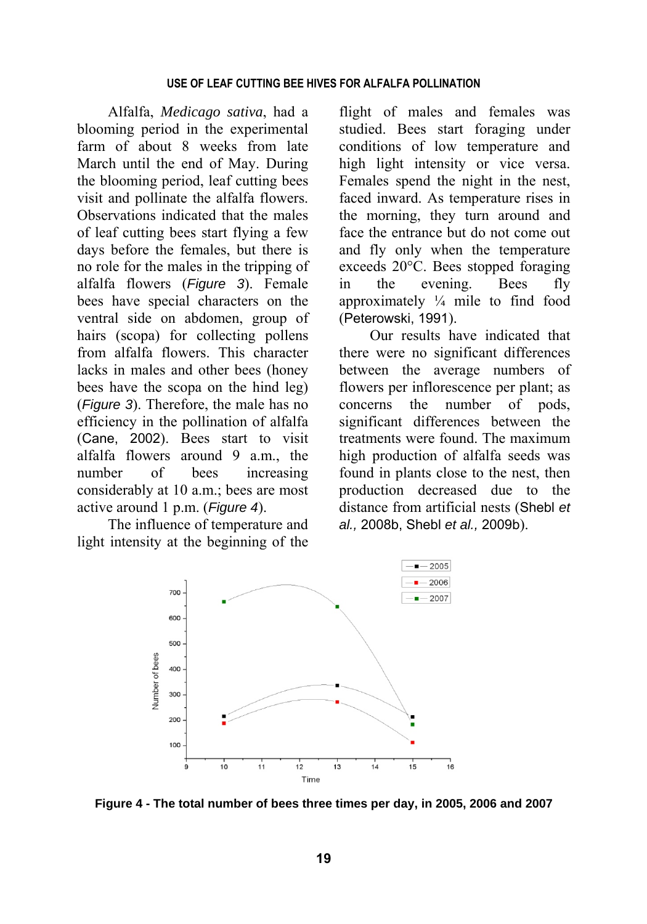#### **USE OF LEAF CUTTING BEE HIVES FOR ALFALFA POLLINATION**

Alfalfa, *Medicago sativa*, had a blooming period in the experimental farm of about 8 weeks from late March until the end of May. During the blooming period, leaf cutting bees visit and pollinate the alfalfa flowers. Observations indicated that the males of leaf cutting bees start flying a few days before the females, but there is no role for the males in the tripping of alfalfa flowers (*Figure 3*). Female bees have special characters on the ventral side on abdomen, group of hairs (scopa) for collecting pollens from alfalfa flowers. This character lacks in males and other bees (honey bees have the scopa on the hind leg) (*Figure 3*). Therefore, the male has no efficiency in the pollination of alfalfa (Cane, 2002). Bees start to visit alfalfa flowers around 9 a.m., the number of bees increasing considerably at 10 a.m.; bees are most active around 1 p.m. (*Figure 4*).

The influence of temperature and light intensity at the beginning of the flight of males and females was studied. Bees start foraging under conditions of low temperature and high light intensity or vice versa. Females spend the night in the nest, faced inward. As temperature rises in the morning, they turn around and face the entrance but do not come out and fly only when the temperature exceeds 20°C. Bees stopped foraging in the evening. Bees fly approximately  $\frac{1}{4}$  mile to find food (Peterowski, 1991).

Our results have indicated that there were no significant differences between the average numbers of flowers per inflorescence per plant; as concerns the number of pods, significant differences between the treatments were found. The maximum high production of alfalfa seeds was found in plants close to the nest, then production decreased due to the distance from artificial nests (Shebl *et al.,* 2008b, Shebl *et al.,* 2009b).



**Figure 4 - The total number of bees three times per day, in 2005, 2006 and 2007**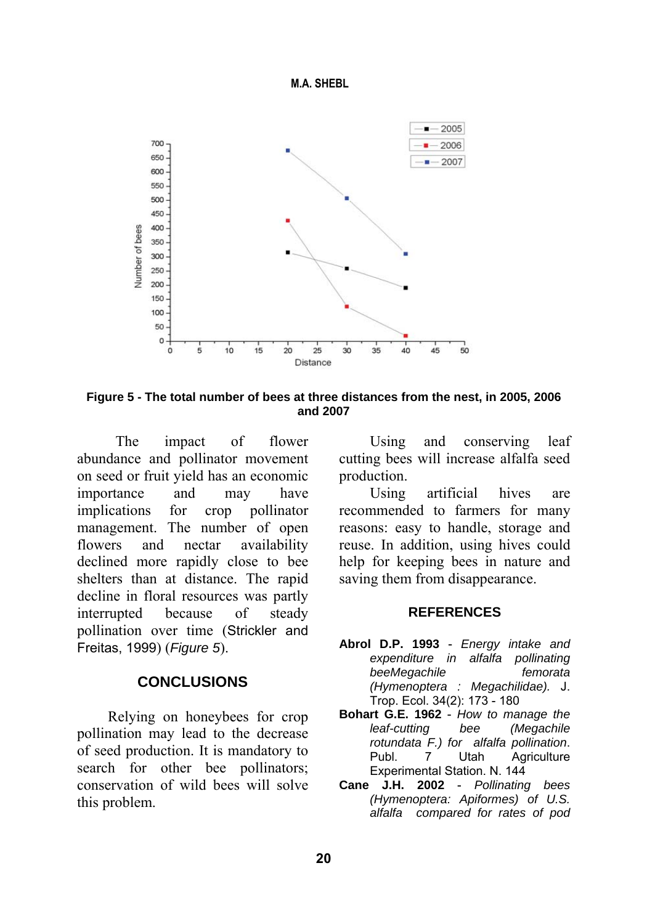



**Figure 5 - The total number of bees at three distances from the nest, in 2005, 2006 and 2007** 

The impact of flower abundance and pollinator movement on seed or fruit yield has an economic importance and may have implications for crop pollinator management. The number of open flowers and nectar availability declined more rapidly close to bee shelters than at distance. The rapid decline in floral resources was partly interrupted because of steady pollination over time (Strickler and Freitas, 1999) (*Figure 5*).

### **CONCLUSIONS**

Relying on honeybees for crop pollination may lead to the decrease of seed production. It is mandatory to search for other bee pollinators; conservation of wild bees will solve this problem.

Using and conserving leaf cutting bees will increase alfalfa seed production.

Using artificial hives are recommended to farmers for many reasons: easy to handle, storage and reuse. In addition, using hives could help for keeping bees in nature and saving them from disappearance.

#### **REFERENCES**

- **Abrol D.P. 1993** *Energy intake and expenditure in alfalfa pollinating beeMegachile femorata (Hymenoptera : Megachilidae).* J. Trop. Ecol. 34(2): 173 - 180
- **Bohart G.E. 1962** *How to manage the leaf-cutting bee (Megachile rotundata F.) for alfalfa pollination*. Publ. 7 Utah Agriculture Experimental Station. N. 144
- **Cane J.H. 2002** *Pollinating bees (Hymenoptera: Apiformes) of U.S. alfalfa compared for rates of pod*